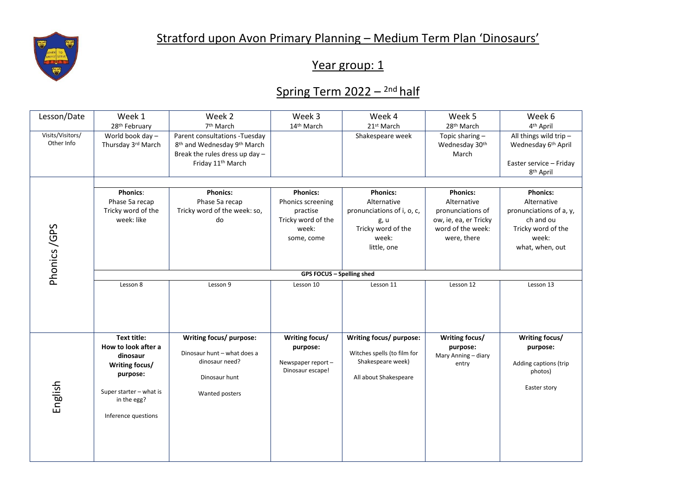

## Year group: 1

## Spring Term 2022 – <sup>2nd</sup> half

| Lesson/Date                    | Week 1                                                                                                                                               | Week 2                                                                                                                                                   | Week 3                                                                                        | Week 4                                                                                                             | Week 5                                                                                                           | Week 6                                                                                                                   |  |  |
|--------------------------------|------------------------------------------------------------------------------------------------------------------------------------------------------|----------------------------------------------------------------------------------------------------------------------------------------------------------|-----------------------------------------------------------------------------------------------|--------------------------------------------------------------------------------------------------------------------|------------------------------------------------------------------------------------------------------------------|--------------------------------------------------------------------------------------------------------------------------|--|--|
|                                | 28 <sup>th</sup> February                                                                                                                            | 7 <sup>th</sup> March                                                                                                                                    | 14 <sup>th</sup> March                                                                        | 21st March                                                                                                         | 28 <sup>th</sup> March                                                                                           | 4 <sup>th</sup> April                                                                                                    |  |  |
| Visits/Visitors/<br>Other Info | World book day -<br>Thursday 3rd March                                                                                                               | Parent consultations - Tuesday<br>8 <sup>th</sup> and Wednesday 9 <sup>th</sup> March<br>Break the rules dress up day -<br>Friday 11 <sup>th</sup> March |                                                                                               | Shakespeare week                                                                                                   | Topic sharing-<br>Wednesday 30th<br>March                                                                        | All things wild trip-<br>Wednesday 6 <sup>th</sup> April<br>Easter service - Friday<br>8 <sup>th</sup> April             |  |  |
|                                |                                                                                                                                                      |                                                                                                                                                          |                                                                                               |                                                                                                                    |                                                                                                                  |                                                                                                                          |  |  |
| Phonics /GPS                   | <b>Phonics:</b><br>Phase 5a recap<br>Tricky word of the<br>week: like                                                                                | <b>Phonics:</b><br>Phase 5a recap<br>Tricky word of the week: so,<br>do                                                                                  | <b>Phonics:</b><br>Phonics screening<br>practise<br>Tricky word of the<br>week:<br>some, come | <b>Phonics:</b><br>Alternative<br>pronunciations of i, o, c,<br>g, u<br>Tricky word of the<br>week:<br>little, one | <b>Phonics:</b><br>Alternative<br>pronunciations of<br>ow, ie, ea, er Tricky<br>word of the week:<br>were, there | <b>Phonics:</b><br>Alternative<br>pronunciations of a, y,<br>ch and ou<br>Tricky word of the<br>week:<br>what, when, out |  |  |
|                                | <b>GPS FOCUS - Spelling shed</b>                                                                                                                     |                                                                                                                                                          |                                                                                               |                                                                                                                    |                                                                                                                  |                                                                                                                          |  |  |
|                                | Lesson 8                                                                                                                                             | Lesson 9                                                                                                                                                 | Lesson 10                                                                                     | Lesson 11                                                                                                          | Lesson 12                                                                                                        | Lesson 13                                                                                                                |  |  |
| English                        | <b>Text title:</b><br>How to look after a<br>dinosaur<br>Writing focus/<br>purpose:<br>Super starter - what is<br>in the egg?<br>Inference questions | Writing focus/ purpose:<br>Dinosaur hunt - what does a<br>dinosaur need?<br>Dinosaur hunt<br>Wanted posters                                              | Writing focus/<br>purpose:<br>Newspaper report-<br>Dinosaur escape!                           | Writing focus/ purpose:<br>Witches spells (to film for<br>Shakespeare week)<br>All about Shakespeare               | Writing focus/<br>purpose:<br>Mary Anning - diary<br>entry                                                       | Writing focus/<br>purpose:<br>Adding captions (trip<br>photos)<br>Easter story                                           |  |  |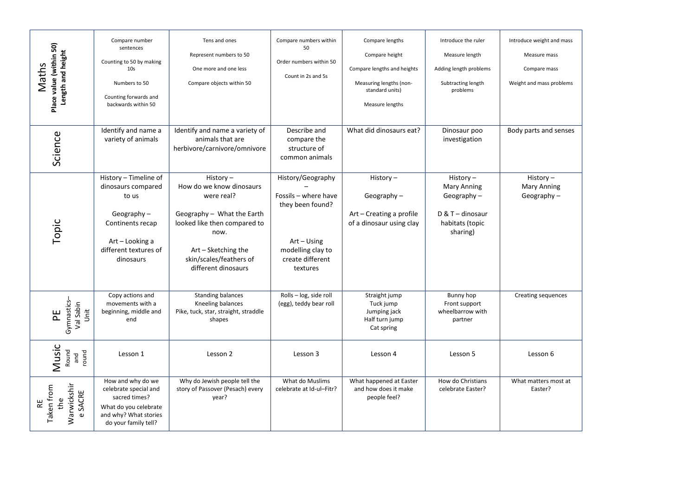| Place value (within 50)<br>Length and height<br>Maths | Compare number<br>sentences<br>Counting to 50 by making<br>10 <sub>s</sub><br>Numbers to 50<br>Counting forwards and<br>backwards within 50        | Tens and ones<br>Represent numbers to 50<br>One more and one less<br>Compare objects within 50                                                                                                    | Compare numbers within<br>50<br>Order numbers within 50<br>Count in 2s and 5s                                                       | Compare lengths<br>Compare height<br>Compare lengths and heights<br>Measuring lengths (non-<br>standard units)<br>Measure lengths | Introduce the ruler<br>Measure length<br>Adding length problems<br>Subtracting length<br>problems    | Introduce weight and mass<br>Measure mass<br>Compare mass<br>Weight and mass problems |
|-------------------------------------------------------|----------------------------------------------------------------------------------------------------------------------------------------------------|---------------------------------------------------------------------------------------------------------------------------------------------------------------------------------------------------|-------------------------------------------------------------------------------------------------------------------------------------|-----------------------------------------------------------------------------------------------------------------------------------|------------------------------------------------------------------------------------------------------|---------------------------------------------------------------------------------------|
| Science                                               | Identify and name a<br>variety of animals                                                                                                          | Identify and name a variety of<br>animals that are<br>herbivore/carnivore/omnivore                                                                                                                | Describe and<br>compare the<br>structure of<br>common animals                                                                       | What did dinosaurs eat?                                                                                                           | Dinosaur poo<br>investigation                                                                        | Body parts and senses                                                                 |
| Topic                                                 | History - Timeline of<br>dinosaurs compared<br>to us<br>Geography $-$<br>Continents recap<br>Art – Looking a<br>different textures of<br>dinosaurs | History-<br>How do we know dinosaurs<br>were real?<br>Geography - What the Earth<br>looked like then compared to<br>now.<br>Art - Sketching the<br>skin/scales/feathers of<br>different dinosaurs | History/Geography<br>Fossils - where have<br>they been found?<br>$Art - Using$<br>modelling clay to<br>create different<br>textures | History $-$<br>Geography $-$<br>Art - Creating a profile<br>of a dinosaur using clay                                              | History-<br><b>Mary Anning</b><br>Geography $-$<br>$D & T$ – dinosaur<br>habitats (topic<br>sharing) | History-<br><b>Mary Anning</b><br>Geography $-$                                       |
| Gymnastics-<br>Val Sabin<br>Jnit<br>씬                 | Copy actions and<br>movements with a<br>beginning, middle and<br>end                                                                               | <b>Standing balances</b><br>Kneeling balances<br>Pike, tuck, star, straight, straddle<br>shapes                                                                                                   | Rolls-log, side roll<br>(egg), teddy bear roll                                                                                      | Straight jump<br>Tuck jump<br>Jumping jack<br>Half turn jump<br>Cat spring                                                        | Bunny hop<br>Front support<br>wheelbarrow with<br>partner                                            | <b>Creating sequences</b>                                                             |
| Music<br>Round<br>and<br>round                        | Lesson 1                                                                                                                                           | Lesson 2                                                                                                                                                                                          | Lesson 3                                                                                                                            | Lesson 4                                                                                                                          | Lesson 5                                                                                             | Lesson 6                                                                              |
| Warwickshir<br>RE<br>Taken from<br>e SACRE<br>the     | How and why do we<br>celebrate special and<br>sacred times?<br>What do you celebrate<br>and why? What stories<br>do your family tell?              | Why do Jewish people tell the<br>story of Passover (Pesach) every<br>year?                                                                                                                        | What do Muslims<br>celebrate at Id-ul-Fitr?                                                                                         | What happened at Easter<br>and how does it make<br>people feel?                                                                   | How do Christians<br>celebrate Easter?                                                               | What matters most at<br>Easter?                                                       |